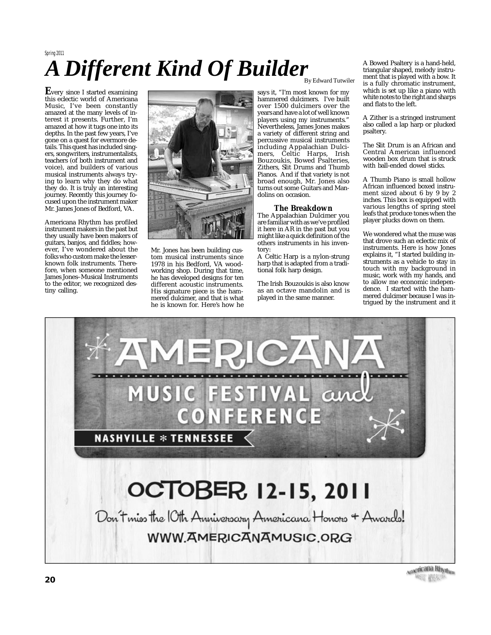# *A Di fferent Kind Of Builder* Spring 2011

**E**very since <sup>I</sup> started examining this eclectic world of Americana Music, I've been constantly amazed at the many levels of interest it presents. Further, I'm amazed at how it tugs one into its depths. In the past few years, I've gone on a quest for evermore details. This quest has included singers, songwriters, instrumentalists, teachers (of both instrument and voice), and builders of various musical instruments always trying to learn why they do what they do. It is truly an interesting journey. Recently this journey focused upon the instrument maker Mr. James Jones of Bedford, VA.

Americana Rhythm has profiled instrument makers in the past but they usually have been makers of guitars, banjos, and fiddles; however, I've wondered about the folks who custom make the lesserknown folk instruments. Therefore, when someone mentioned James Jones–Musical Instruments to the editor, we recognized destiny calling.



Mr. Jones has been building custom musical instruments since 1978 in his Bedford, VA woodworking shop. During that time, he has developed designs for ten different acoustic instruments. His signature piece is the hammered dulcimer, and that is what he is known for. Here's how he

## By Edward Tutwiler

says it, "I'm most known for my hammered dulcimers. I've built over 1500 dulcimers over the yearsandhave a lot of wellknown players using my instruments." Nevertheless, James Jones makes a variety of different string and percussive musical instruments including Appalachian Dulcimers, Celtic Harps, Irish Bouzoukis, Bowed Psalteries, Zithers, Slit Drums and Thumb Pianos. And if that variety is not broad enough, Mr. Jones also turns out some Guitars and Mandolins on occasion.

## **The Breakdown**

The Appalachian Dulcimer you are familiar withas we've profiled it here in AR in the past but you might like a quick definition of the others instruments in his inventory:

A Celtic Harp is a nylon-strung harp that is adapted from a traditional folk harp design.

The Irish Bouzoukis is also know as an octave mandolin and is played in the same manner.

A Bowed Psaltery is a hand-held, triangular shaped, melody instrument that is played with a bow. It is a fully chromatic instrument, which is set up like a piano with white notes to the right and sharps and flats to the left.

A Zither is a stringed instrument also called a lap harp or plucked psaltery.

The Slit Drum is an African and Central American influenced wooden box drum that is struck with ball-ended dowel sticks.

A Thumb Piano is small hollow African influenced boxed instrument sized about 6 by 9 by 2 inches. This box is equipped with various lengths of spring steel leafs that produce tones when the player plucks down on them.

We wondered what the muse was that drove such an eclectic mix of instruments. Here is how Jones explains it, "I started building instruments as a vehicle to stay in touch with my background in music, work with my hands, and to allow me economic independence. I started with the hammered dulcimer because I was intrigued by the instrument and it



<sub>Americana Rhy<sub>thm</sub></sub> "我们的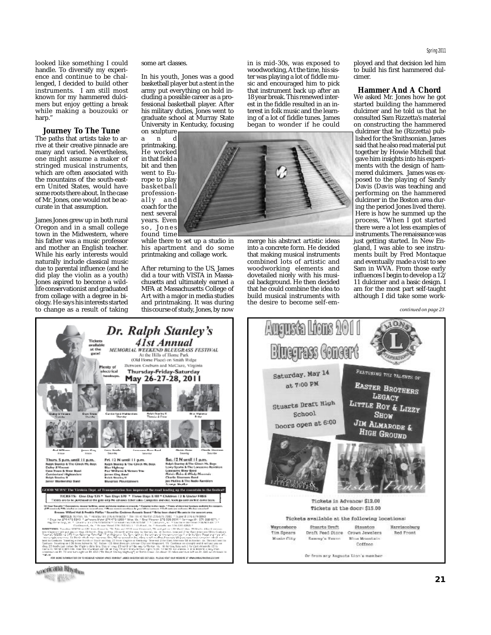looked like something I could handle. To diversify my experience and continue to be challenged, I decided to build other instruments. I am still most known for my hammered dulcimers but enjoy getting a break while making a bouzouki or harp.'

**Journey To The Tune** The paths that artists take to arrive at their creative pinnacle are many and varied. Nevertheless, one might assume a maker of stringed musical instruments, which are often associated with the mountains of the south-eastern United States, would have some roots there about. In the case of Mr. Jones, one would not be accurate in that assumption.

James Jones grew up in both rural Oregon and in a small college town in the Midwestern, where his father was a music professor and mother an English teacher. While his early interests would naturally include classical music due to parental influence (and he did play the violin as a youth) Jones aspired to become a wildlife conservationist andgraduated from collage with a degree in biology. He says his interests started to change as a result of taking some art classes.

In his youth, Jones was a good basketball player but a stent in the army put everything on hold including a possible career as a professional basketball player. After his military duties, Jones went to graduate school at Murray State University in Kentucky, focusing on sculpture

a n d printmaking. He worked in that field a bit and then went to Europe to play basketball professionally and coach for the next several years. Even

s o , J o n e s

found time while there to set up a studio in his apartment and do some printmaking and collage work.

After returning to the US, James did a tour with VISTA in Massachusetts and ultimately earned a MFA at Massachusetts College of Art with a major in media studies and printmaking. It was during this course of study, Jones, by now

in is mid-30s, was exposed to woodworking, At the time, his sister was playing a lot of fiddle music and encouraged him to pick that instrument back up after an 18 year break. This renewedinterest in the fiddle resulted in an interest in folk music and the learning of a lot of fiddle tunes. James began to wonder if he could



merge his abstract artistic ideas into a concrete form. He decided that making musical instruments combined lots of artistic and woodworking elements and dovetailed nicely with his musical background. He then decided that he could combine the idea to build musical instruments with the desire to become self-em-

Augusta Lions 2011

ployed and that decision led him to build his first hammered dulcimer.

**Hammer And A Chord** We asked Mr. Jones how he got started building the hammered dulcimer and he told us that he consulted Sam Rizzetta's material on constructing the hammered dulcimer that he (Rizzetta) published for the Smithsonian. James said that he also read material put together by Howie Mitchell that gave him insights into his experiments with the design of hammered dulcimers. James was exposed to the playing of Sandy Davis (Davis was teaching and performing on the hammered dulcimer in the Boston area during the period Jones lived there). Here is how he summed up the process, "When I got started there were a lot less examples of instruments. The renaissance was just getting started. In New England, I was able to see instruments built by Fred Montaque and eventually made a visit to see Sam in WVA. From those early influences I begin to develop a 12/ 11 dulcimer and a basic design. I am for the most part self-taught although I did take some work-

*continued on page 23*

O٨



**Bluegrass Goneert KOWATIO** PEATURING THE TALENTS OF Saturday, May 14 **EASTER BROTHERS** at 7:00 PM LEGACY **Stuarts Draft High** LITTLE ROY & LIZZY School **SHOW** Doors open at 6:00 JIM ALMARODE & **HIGH GROUND** Pickets in Advance: \$12.00 Tickets at the door: \$15.00 Tickets available at the following locations: Waynesboro Stuarts Draft Staunton Harrisopburg Crown Jewelers Tim Spears Draft Feed Store **Red Front** Music City Sammy's Regno-Blue Mountain Coffees On from any Aumeria Line's member.